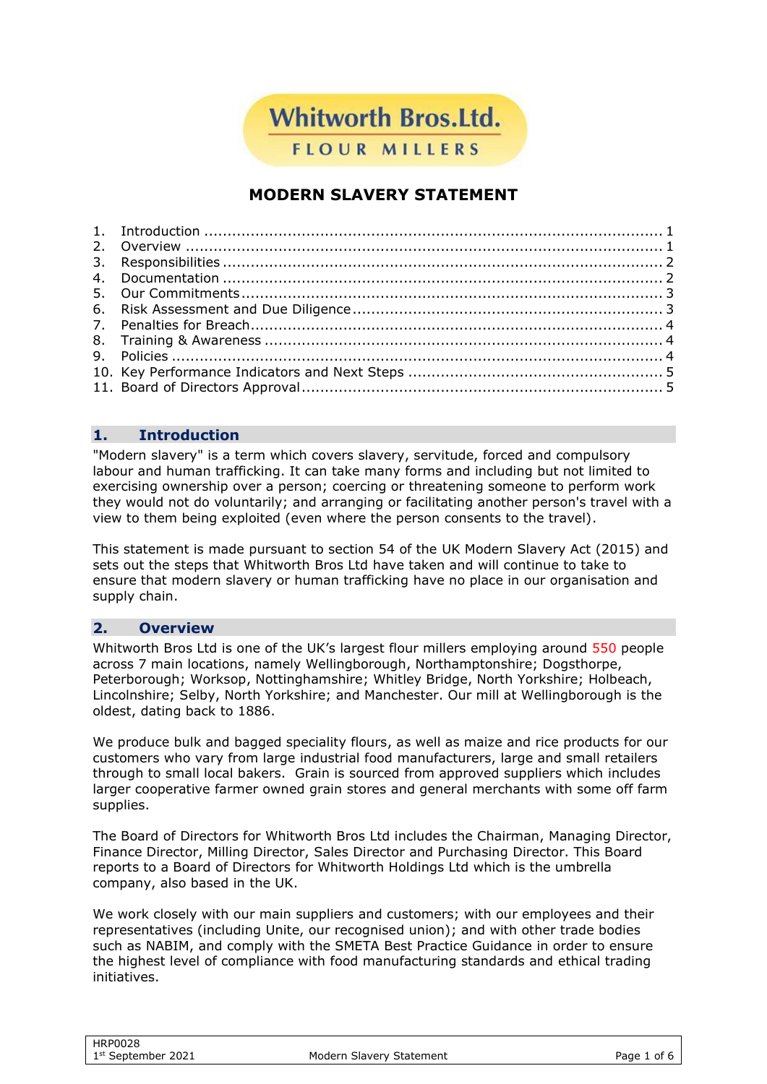**Whitworth Bros.Ltd.** 

**FLOUR MILLERS** 

# **MODERN SLAVERY STATEMENT**

# <span id="page-0-0"></span>**1. Introduction**

"Modern slavery" is a term which covers slavery, servitude, forced and compulsory labour and human trafficking. It can take many forms and including but not limited to exercising ownership over a person; coercing or threatening someone to perform work they would not do voluntarily; and arranging or facilitating another person's travel with a view to them being exploited (even where the person consents to the travel).

This statement is made pursuant to section 54 of the UK Modern Slavery Act (2015) and sets out the steps that Whitworth Bros Ltd have taken and will continue to take to ensure that modern slavery or human trafficking have no place in our organisation and supply chain.

#### <span id="page-0-1"></span>**2. Overview**

Whitworth Bros Ltd is one of the UK's largest flour millers employing around 550 people across 7 main locations, namely Wellingborough, Northamptonshire; Dogsthorpe, Peterborough; Worksop, Nottinghamshire; Whitley Bridge, North Yorkshire; Holbeach, Lincolnshire; Selby, North Yorkshire; and Manchester. Our mill at Wellingborough is the oldest, dating back to 1886.

We produce bulk and bagged speciality flours, as well as maize and rice products for our customers who vary from large industrial food manufacturers, large and small retailers through to small local bakers. Grain is sourced from approved suppliers which includes larger cooperative farmer owned grain stores and general merchants with some off farm supplies.

The Board of Directors for Whitworth Bros Ltd includes the Chairman, Managing Director, Finance Director, Milling Director, Sales Director and Purchasing Director. This Board reports to a Board of Directors for Whitworth Holdings Ltd which is the umbrella company, also based in the UK.

We work closely with our main suppliers and customers; with our employees and their representatives (including Unite, our recognised union); and with other trade bodies such as NABIM, and comply with the SMETA Best Practice Guidance in order to ensure the highest level of compliance with food manufacturing standards and ethical trading initiatives.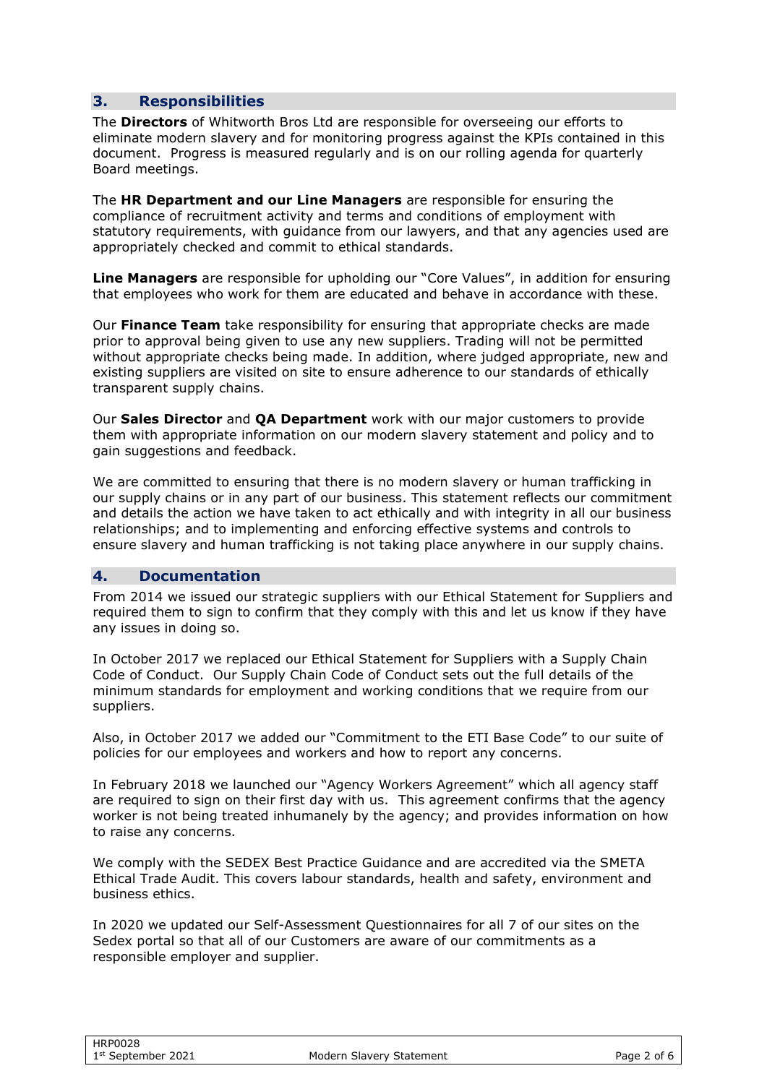#### <span id="page-1-0"></span>**3. Responsibilities**

The **Directors** of Whitworth Bros Ltd are responsible for overseeing our efforts to eliminate modern slavery and for monitoring progress against the KPIs contained in this document. Progress is measured regularly and is on our rolling agenda for quarterly Board meetings.

The **HR Department and our Line Managers** are responsible for ensuring the compliance of recruitment activity and terms and conditions of employment with statutory requirements, with guidance from our lawyers, and that any agencies used are appropriately checked and commit to ethical standards.

**Line Managers** are responsible for upholding our "Core Values", in addition for ensuring that employees who work for them are educated and behave in accordance with these.

Our **Finance Team** take responsibility for ensuring that appropriate checks are made prior to approval being given to use any new suppliers. Trading will not be permitted without appropriate checks being made. In addition, where judged appropriate, new and existing suppliers are visited on site to ensure adherence to our standards of ethically transparent supply chains.

Our **Sales Director** and **QA Department** work with our major customers to provide them with appropriate information on our modern slavery statement and policy and to gain suggestions and feedback.

We are committed to ensuring that there is no modern slavery or human trafficking in our supply chains or in any part of our business. This statement reflects our commitment and details the action we have taken to act ethically and with integrity in all our business relationships; and to implementing and enforcing effective systems and controls to ensure slavery and human trafficking is not taking place anywhere in our supply chains.

#### <span id="page-1-1"></span>**4. Documentation**

From 2014 we issued our strategic suppliers with our Ethical Statement for Suppliers and required them to sign to confirm that they comply with this and let us know if they have any issues in doing so.

In October 2017 we replaced our Ethical Statement for Suppliers with a Supply Chain Code of Conduct. Our Supply Chain Code of Conduct sets out the full details of the minimum standards for employment and working conditions that we require from our suppliers.

Also, in October 2017 we added our "Commitment to the ETI Base Code" to our suite of policies for our employees and workers and how to report any concerns.

In February 2018 we launched our "Agency Workers Agreement" which all agency staff are required to sign on their first day with us. This agreement confirms that the agency worker is not being treated inhumanely by the agency; and provides information on how to raise any concerns.

We comply with the SEDEX Best Practice Guidance and are accredited via the SMETA Ethical Trade Audit. This covers labour standards, health and safety, environment and business ethics.

In 2020 we updated our Self-Assessment Questionnaires for all 7 of our sites on the Sedex portal so that all of our Customers are aware of our commitments as a responsible employer and supplier.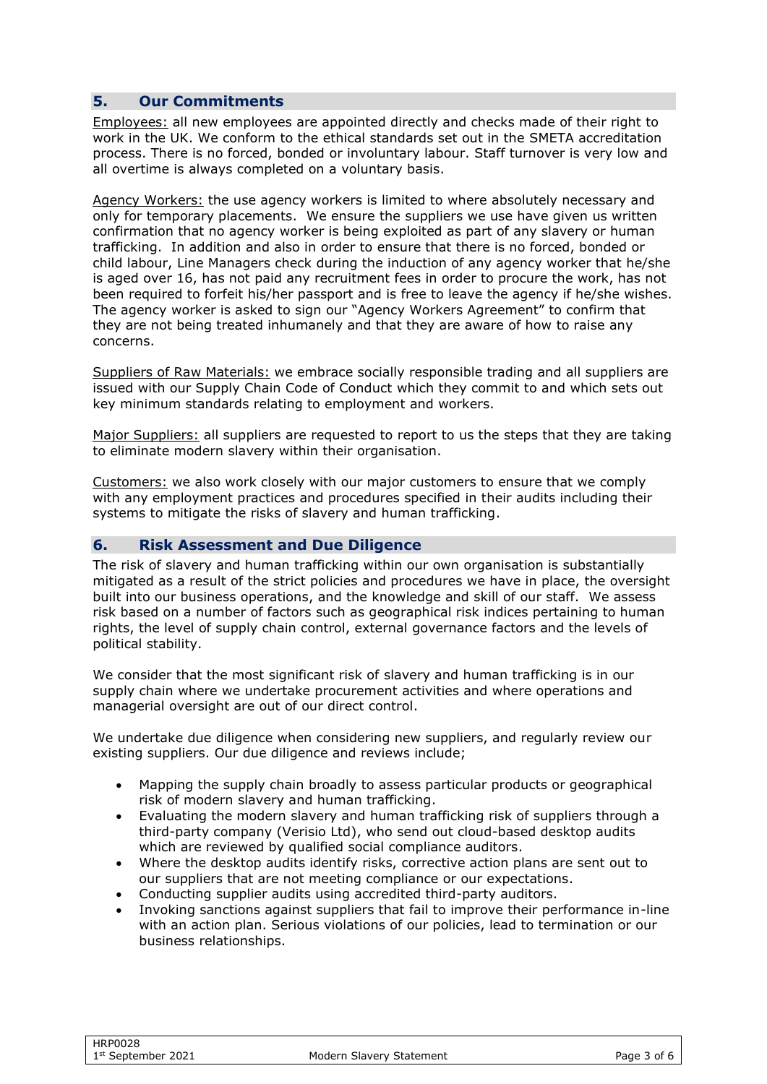### <span id="page-2-0"></span>**5. Our Commitments**

Employees: all new employees are appointed directly and checks made of their right to work in the UK. We conform to the ethical standards set out in the SMETA accreditation process. There is no forced, bonded or involuntary labour. Staff turnover is very low and all overtime is always completed on a voluntary basis.

Agency Workers: the use agency workers is limited to where absolutely necessary and only for temporary placements. We ensure the suppliers we use have given us written confirmation that no agency worker is being exploited as part of any slavery or human trafficking. In addition and also in order to ensure that there is no forced, bonded or child labour, Line Managers check during the induction of any agency worker that he/she is aged over 16, has not paid any recruitment fees in order to procure the work, has not been required to forfeit his/her passport and is free to leave the agency if he/she wishes. The agency worker is asked to sign our "Agency Workers Agreement" to confirm that they are not being treated inhumanely and that they are aware of how to raise any concerns.

Suppliers of Raw Materials: we embrace socially responsible trading and all suppliers are issued with our Supply Chain Code of Conduct which they commit to and which sets out key minimum standards relating to employment and workers.

Major Suppliers: all suppliers are requested to report to us the steps that they are taking to eliminate modern slavery within their organisation.

Customers: we also work closely with our major customers to ensure that we comply with any employment practices and procedures specified in their audits including their systems to mitigate the risks of slavery and human trafficking.

#### <span id="page-2-1"></span>**6. Risk Assessment and Due Diligence**

The risk of slavery and human trafficking within our own organisation is substantially mitigated as a result of the strict policies and procedures we have in place, the oversight built into our business operations, and the knowledge and skill of our staff. We assess risk based on a number of factors such as geographical risk indices pertaining to human rights, the level of supply chain control, external governance factors and the levels of political stability.

We consider that the most significant risk of slavery and human trafficking is in our supply chain where we undertake procurement activities and where operations and managerial oversight are out of our direct control.

We undertake due diligence when considering new suppliers, and regularly review our existing suppliers. Our due diligence and reviews include;

- Mapping the supply chain broadly to assess particular products or geographical risk of modern slavery and human trafficking.
- Evaluating the modern slavery and human trafficking risk of suppliers through a third-party company (Verisio Ltd), who send out cloud-based desktop audits which are reviewed by qualified social compliance auditors.
- Where the desktop audits identify risks, corrective action plans are sent out to our suppliers that are not meeting compliance or our expectations.
- Conducting supplier audits using accredited third-party auditors.
- Invoking sanctions against suppliers that fail to improve their performance in-line with an action plan. Serious violations of our policies, lead to termination or our business relationships.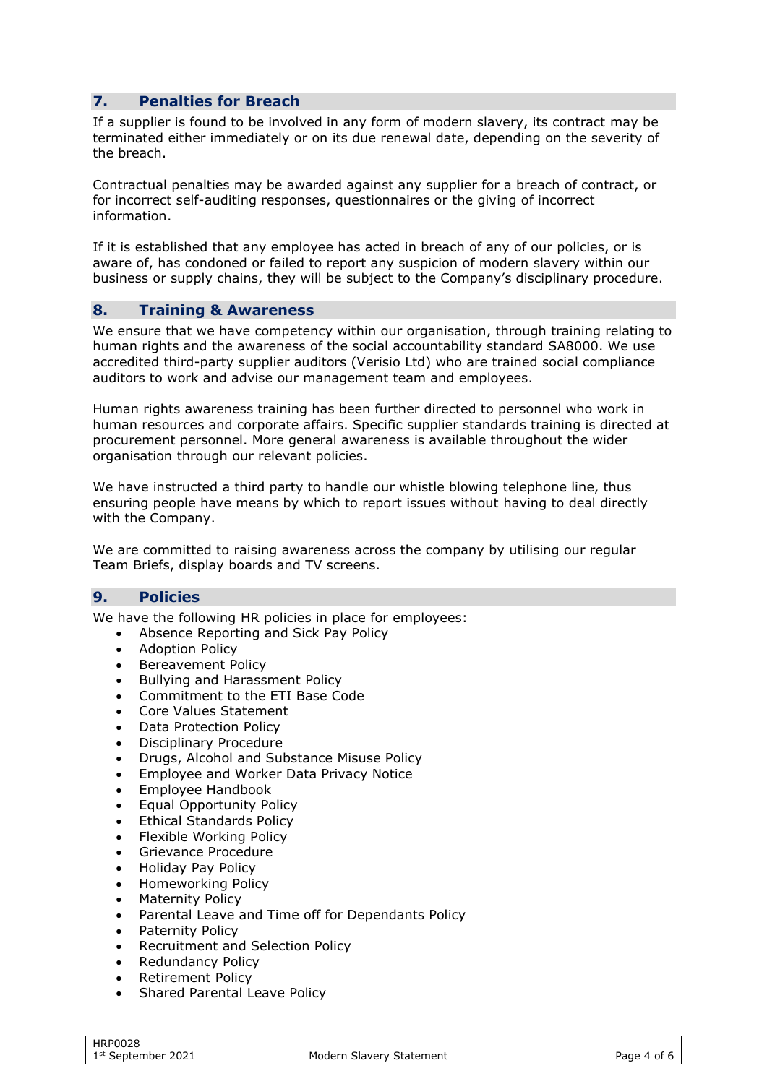# <span id="page-3-0"></span>**7. Penalties for Breach**

If a supplier is found to be involved in any form of modern slavery, its contract may be terminated either immediately or on its due renewal date, depending on the severity of the breach.

Contractual penalties may be awarded against any supplier for a breach of contract, or for incorrect self-auditing responses, questionnaires or the giving of incorrect information.

If it is established that any employee has acted in breach of any of our policies, or is aware of, has condoned or failed to report any suspicion of modern slavery within our business or supply chains, they will be subject to the Company's disciplinary procedure.

#### <span id="page-3-1"></span>**8. Training & Awareness**

We ensure that we have competency within our organisation, through training relating to human rights and the awareness of the social accountability standard SA8000. We use accredited third-party supplier auditors (Verisio Ltd) who are trained social compliance auditors to work and advise our management team and employees.

Human rights awareness training has been further directed to personnel who work in human resources and corporate affairs. Specific supplier standards training is directed at procurement personnel. More general awareness is available throughout the wider organisation through our relevant policies.

We have instructed a third party to handle our whistle blowing telephone line, thus ensuring people have means by which to report issues without having to deal directly with the Company.

We are committed to raising awareness across the company by utilising our regular Team Briefs, display boards and TV screens.

#### <span id="page-3-2"></span>**9. Policies**

We have the following HR policies in place for employees:

- Absence Reporting and Sick Pay Policy
- Adoption Policy
- Bereavement Policy
- Bullying and Harassment Policy
- Commitment to the ETI Base Code
- Core Values Statement
- Data Protection Policy
- Disciplinary Procedure
- Drugs, Alcohol and Substance Misuse Policy
- Employee and Worker Data Privacy Notice
- Employee Handbook
- Equal Opportunity Policy
- Ethical Standards Policy
- Flexible Working Policy
- Grievance Procedure
- Holiday Pay Policy
- Homeworking Policy
- Maternity Policy
- Parental Leave and Time off for Dependants Policy
- Paternity Policy
- Recruitment and Selection Policy
- Redundancy Policy
- Retirement Policy
- Shared Parental Leave Policy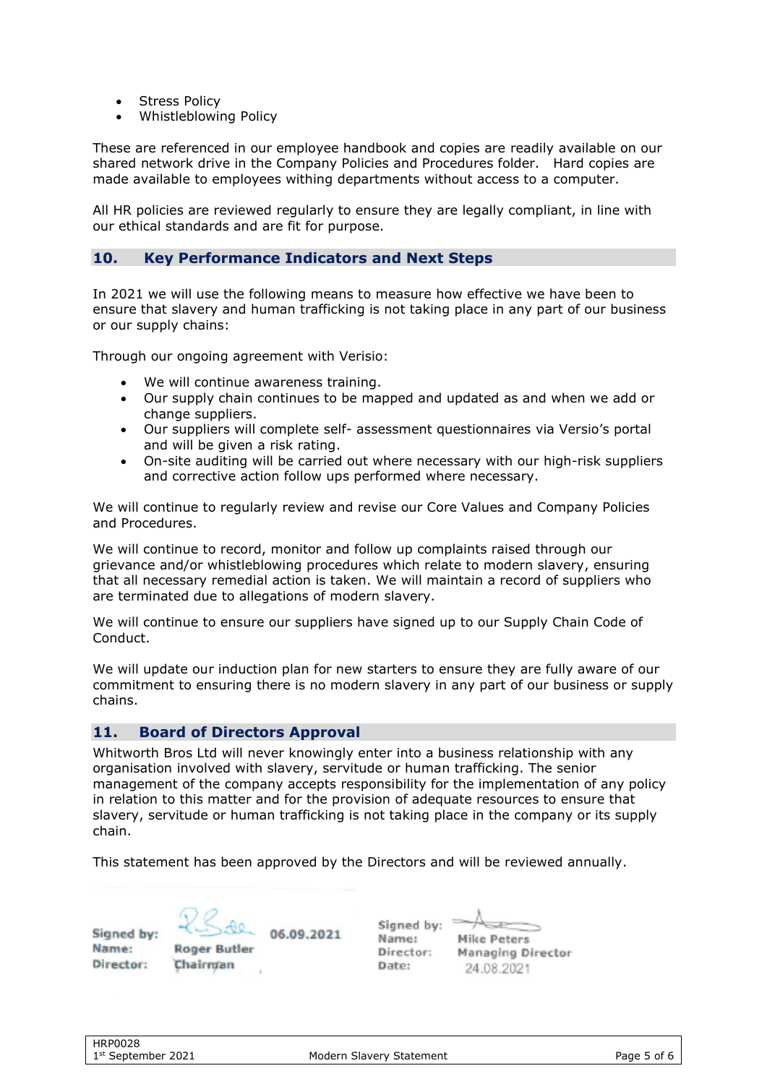- **Stress Policy**
- Whistleblowing Policy

These are referenced in our employee handbook and copies are readily available on our shared network drive in the Company Policies and Procedures folder. Hard copies are made available to employees withing departments without access to a computer.

All HR policies are reviewed regularly to ensure they are legally compliant, in line with our ethical standards and are fit for purpose.

#### <span id="page-4-0"></span>**10. Key Performance Indicators and Next Steps**

In 2021 we will use the following means to measure how effective we have been to ensure that slavery and human trafficking is not taking place in any part of our business or our supply chains:

Through our ongoing agreement with Verisio:

- We will continue awareness training.
- Our supply chain continues to be mapped and updated as and when we add or change suppliers.
- Our suppliers will complete self- assessment questionnaires via Versio's portal and will be given a risk rating.
- On-site auditing will be carried out where necessary with our high-risk suppliers and corrective action follow ups performed where necessary.

We will continue to regularly review and revise our Core Values and Company Policies and Procedures.

We will continue to record, monitor and follow up complaints raised through our grievance and/or whistleblowing procedures which relate to modern slavery, ensuring that all necessary remedial action is taken. We will maintain a record of suppliers who are terminated due to allegations of modern slavery.

We will continue to ensure our suppliers have signed up to our Supply Chain Code of Conduct.

We will update our induction plan for new starters to ensure they are fully aware of our commitment to ensuring there is no modern slavery in any part of our business or supply chains.

## <span id="page-4-1"></span>**11. Board of Directors Approval**

Whitworth Bros Ltd will never knowingly enter into a business relationship with any organisation involved with slavery, servitude or human trafficking. The senior management of the company accepts responsibility for the implementation of any policy in relation to this matter and for the provision of adequate resources to ensure that slavery, servitude or human trafficking is not taking place in the company or its supply chain.

This statement has been approved by the Directors and will be reviewed annually.

Signed by: Name: Director:

06.09.2021 **Roger Butler** Chairman

Signed by: Name: Director: Date:

**Mike Peters** Managing Director 24.08.2021